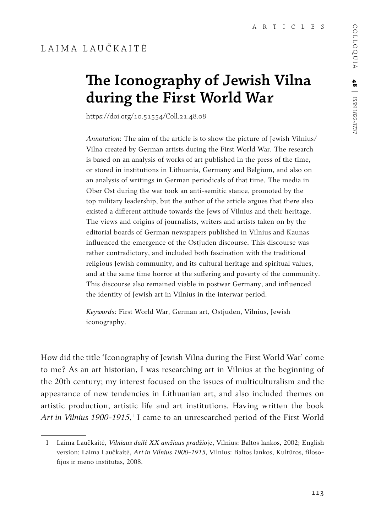### LAIMA LAUČKAITĖ

# **The Iconography of Jewish Vilna during the First World War**

https://doi.org/10.51554/Coll.21.48.08

*Annotation*: The aim of the article is to show the picture of Jewish Vilnius/ Vilna created by German artists during the First World War. The research is based on an analysis of works of art published in the press of the time, or stored in institutions in Lithuania, Germany and Belgium, and also on an analysis of writings in German periodicals of that time. The media in Ober Ost during the war took an anti-semitic stance, promoted by the top military leadership, but the author of the article argues that there also existed a different attitude towards the Jews of Vilnius and their heritage. The views and origins of journalists, writers and artists taken on by the editorial boards of German newspapers published in Vilnius and Kaunas influenced the emergence of the Ostjuden discourse. This discourse was rather contradictory, and included both fascination with the traditional religious Jewish community, and its cultural heritage and spiritual values, and at the same time horror at the suffering and poverty of the community. This discourse also remained viable in postwar Germany, and influenced the identity of Jewish art in Vilnius in the interwar period.

*Keywords*: First World War, German art, Ostjuden, Vilnius, Jewish iconography.

How did the title 'Iconography of Jewish Vilna during the First World War' come to me? As an art historian, I was researching art in Vilnius at the beginning of the 20th century; my interest focused on the issues of multiculturalism and the appearance of new tendencies in Lithuanian art, and also included themes on artistic production, artistic life and art institutions. Having written the book Art in Vilnius 1900-1915,<sup>1</sup> I came to an unresearched period of the First World

<sup>1</sup> Laima Laučkaitė, *Vilniaus dailė XX amžiaus pradžio*je, Vilnius: Baltos lankos, 2002; English version: Laima Laučkaitė, *Art in Vilnius 1900-1915*, Vilnius: Baltos lankos, Kultūros, filosofijos ir meno institutas, 2008.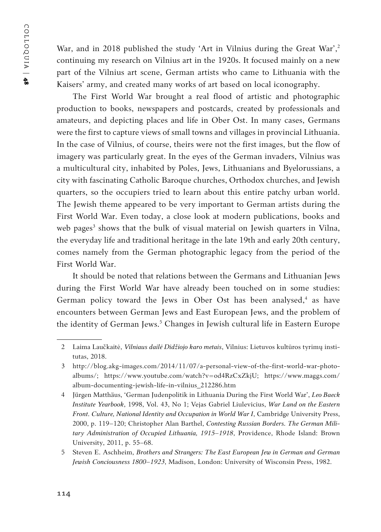COLLOQUIA | COLLOQUIA | 48

War, and in 2018 published the study 'Art in Vilnius during the Great War',<sup>2</sup> continuing my research on Vilnius art in the 1920s. It focused mainly on a new part of the Vilnius art scene, German artists who came to Lithuania with the Kaisers' army, and created many works of art based on local iconography.

The First World War brought a real flood of artistic and photographic production to books, newspapers and postcards, created by professionals and amateurs, and depicting places and life in Ober Ost. In many cases, Germans were the first to capture views of small towns and villages in provincial Lithuania. In the case of Vilnius, of course, theirs were not the first images, but the flow of imagery was particularly great. In the eyes of the German invaders, Vilnius was a multicultural city, inhabited by Poles, Jews, Lithuanians and Byelorussians, a city with fascinating Catholic Baroque churches, Orthodox churches, and Jewish quarters, so the occupiers tried to learn about this entire patchy urban world. The Jewish theme appeared to be very important to German artists during the First World War. Even today, a close look at modern publications, books and web pages<sup>3</sup> shows that the bulk of visual material on Jewish quarters in Vilna, the everyday life and traditional heritage in the late 19th and early 20th century, comes namely from the German photographic legacy from the period of the First World War.

It should be noted that relations between the Germans and Lithuanian Jews during the First World War have already been touched on in some studies: German policy toward the Jews in Ober Ost has been analysed,<sup>4</sup> as have encounters between German Jews and East European Jews, and the problem of the identity of German Jews.<sup>5</sup> Changes in Jewish cultural life in Eastern Europe

<sup>2</sup> Laima Laučkaitė, *Vilniaus dailė Didžiojo karo metais*, Vilnius: Lietuvos kultūros tyrimų institutas, 2018.

<sup>3</sup> http://blog.akg-images.com/2014/11/07/a-personal-view-of-the-first-world-war-photoalbums/; https://www.youtube.com/watch?v=od4RzCxZkjU; https://www.maggs.com/ album-documenting-jewish-life-in-vilnius\_212286.htm

<sup>4</sup> Jürgen Matthäus, 'German Judenpolitik in Lithuania During the First World War', *Leo Baeck Institute Yearbook*, 1998, Vol. 43, No 1; Vejas Gabriel Liulevicius, *War Land on the Eastern Front. Culture, National Identity and Occupation in World War I*, Cambridge University Press, 2000, p. 119–120; Christopher Alan Barthel, *Contesting Russian Borders. The German Military Administration of Occupied Lithuania, 1915–1918*, Providence, Rhode Island: Brown University, 2011, p. 55–68.

<sup>5</sup> Steven E. Aschheim, *Brothers and Strangers: The East European Jew in German and German Jewish Conciousness 1800–1923*, Madison, London: University of Wisconsin Press, 1982.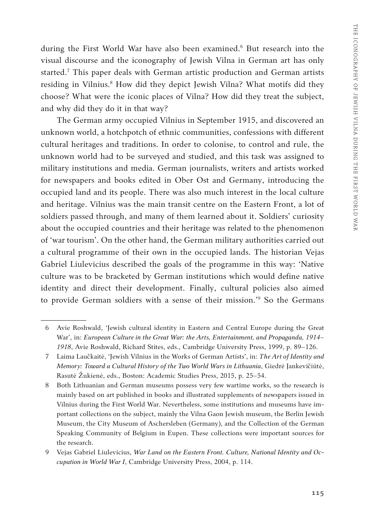during the First World War have also been examined.<sup>6</sup> But research into the visual discourse and the iconography of Jewish Vilna in German art has only started.7 This paper deals with German artistic production and German artists residing in Vilnius.<sup>8</sup> How did they depict Jewish Vilna? What motifs did they choose? What were the iconic places of Vilna? How did they treat the subject, and why did they do it in that way?

The German army occupied Vilnius in September 1915, and discovered an unknown world, a hotchpotch of ethnic communities, confessions with different cultural heritages and traditions. In order to colonise, to control and rule, the unknown world had to be surveyed and studied, and this task was assigned to military institutions and media. German journalists, writers and artists worked for newspapers and books edited in Ober Ost and Germany, introducing the occupied land and its people. There was also much interest in the local culture and heritage. Vilnius was the main transit centre on the Eastern Front, a lot of soldiers passed through, and many of them learned about it. Soldiers' curiosity about the occupied countries and their heritage was related to the phenomenon of 'war tourism'. On the other hand, the German military authorities carried out a cultural programme of their own in the occupied lands. The historian Vejas Gabriel Liulevicius described the goals of the programme in this way: 'Native culture was to be bracketed by German institutions which would define native identity and direct their development. Finally, cultural policies also aimed to provide German soldiers with a sense of their mission.'9 So the Germans

<sup>6</sup> Avie Roshwald, 'Jewish cultural identity in Eastern and Central Europe during the Great War', in: *European Culture in the Great War: the Arts, Entertainment, and Propaganda, 1914– 1918*, Avie Roshwald, Richard Stites, eds., Cambridge University Press, 1999, p. 89–126.

<sup>7</sup> Laima Laučkaitė, 'Jewish Vilnius in the Works of German Artists', in: *The Art of Identity and Memory: Toward a Cultural History of the Two World Wars in Lithuania*, Giedrė Jankevičiūtė, Rasutė Žukienė, eds., Boston: Academic Studies Press, 2015, p. 25–54.

<sup>8</sup> Both Lithuanian and German museums possess very few wartime works, so the research is mainly based on art published in books and illustrated supplements of newspapers issued in Vilnius during the First World War. Nevertheless, some institutions and museums have important collections on the subject, mainly the Vilna Gaon Jewish museum, the Berlin Jewish Museum, the City Museum of Aschersleben (Germany), and the Collection of the German Speaking Community of Belgium in Eupen. These collections were important sources for the research.

<sup>9</sup> Vejas Gabriel Liulevicius, *War Land on the Eastern Front. Culture, National Identity and Occupation in World War I*, Cambridge University Press, 2004, p. 114.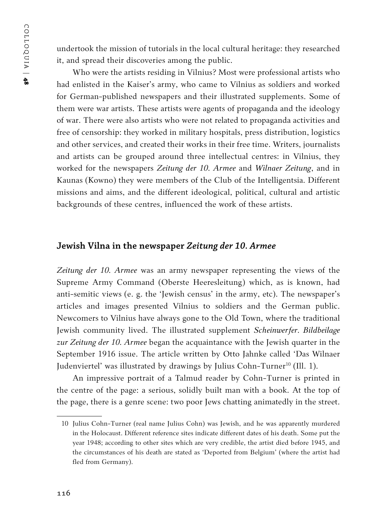undertook the mission of tutorials in the local cultural heritage: they researched it, and spread their discoveries among the public.

Who were the artists residing in Vilnius? Most were professional artists who had enlisted in the Kaiser's army, who came to Vilnius as soldiers and worked for German-published newspapers and their illustrated supplements. Some of them were war artists. These artists were agents of propaganda and the ideology of war. There were also artists who were not related to propaganda activities and free of censorship: they worked in military hospitals, press distribution, logistics and other services, and created their works in their free time. Writers, journalists and artists can be grouped around three intellectual centres: in Vilnius, they worked for the newspapers *Zeitung der 10. Armee* and *Wilnaer Zeitung*, and in Kaunas (Kowno) they were members of the Club of the Intelligentsia. Different missions and aims, and the different ideological, political, cultural and artistic backgrounds of these centres, influenced the work of these artists.

#### **Jewish Vilna in the newspaper** *Zeitung der 10. Armee*

*Zeitung der 10. Armee* was an army newspaper representing the views of the Supreme Army Command (Oberste Heeresleitung) which, as is known, had anti-semitic views (e. g. the 'Jewish census' in the army, etc). The newspaper's articles and images presented Vilnius to soldiers and the German public. Newcomers to Vilnius have always gone to the Old Town, where the traditional Jewish community lived. The illustrated supplement *Scheinwerfer. Bildbeilage zur Zeitung der 10. Armee* began the acquaintance with the Jewish quarter in the September 1916 issue. The article written by Otto Jahnke called 'Das Wilnaer Judenviertel' was illustrated by drawings by Julius Cohn-Turner<sup>10</sup> (Ill. 1).

An impressive portrait of a Talmud reader by Cohn-Turner is printed in the centre of the page: a serious, solidly built man with a book. At the top of the page, there is a genre scene: two poor Jews chatting animatedly in the street.

<sup>10</sup> Julius Cohn-Turner (real name Julius Cohn) was Jewish, and he was apparently murdered in the Holocaust. Different reference sites indicate different dates of his death. Some put the year 1948; according to other sites which are very credible, the artist died before 1945, and the circumstances of his death are stated as 'Deported from Belgium' (where the artist had fled from Germany).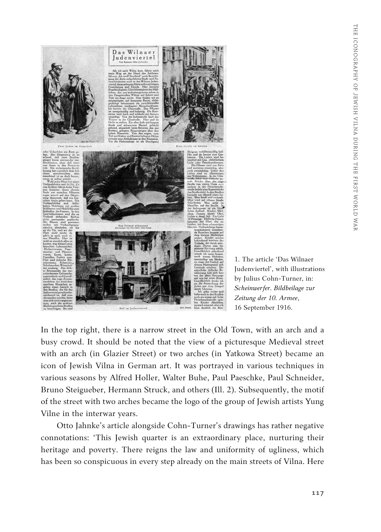

1. The article 'Das Wilnaer Judenviertel', with illustrations by Julius Cohn-Turner, in: *Scheinwerfer. Bildbeilage zur Zeitung der 10. Armee*, 16 September 1916.

In the top right, there is a narrow street in the Old Town, with an arch and a busy crowd. It should be noted that the view of a picturesque Medieval street with an arch (in Glazier Street) or two arches (in Yatkowa Street) became an icon of Jewish Vilna in German art. It was portrayed in various techniques in various seasons by Alfred Holler, Walter Buhe, Paul Paeschke, Paul Schneider, Bruno Steigueber, Hermann Struck, and others (Ill. 2). Subsequently, the motif of the street with two arches became the logo of the group of Jewish artists Yung Vilne in the interwar years.

Otto Jahnke's article alongside Cohn-Turner's drawings has rather negative connotations: 'This Jewish quarter is an extraordinary place, nurturing their heritage and poverty. There reigns the law and uniformity of ugliness, which has been so conspicuous in every step already on the main streets of Vilna. Here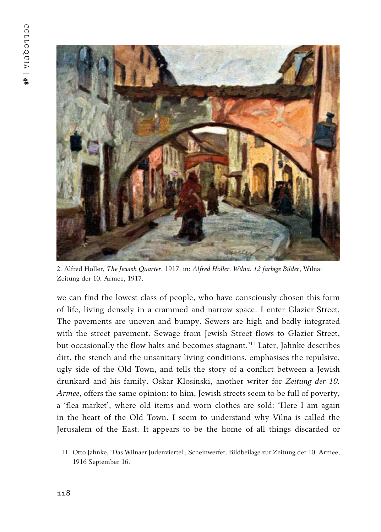

2. Alfred Holler, *The Jewish Quarter*, 1917, in: *Alfred Holler. Wilna. 12 farbige Bilder*, Wilna: Zeitung der 10. Armee, 1917.

we can find the lowest class of people, who have consciously chosen this form of life, living densely in a crammed and narrow space. I enter Glazier Street. The pavements are uneven and bumpy. Sewers are high and badly integrated with the street pavement. Sewage from Jewish Street flows to Glazier Street, but occasionally the flow halts and becomes stagnant.'11 Later, Jahnke describes dirt, the stench and the unsanitary living conditions, emphasises the repulsive, ugly side of the Old Town, and tells the story of a conflict between a Jewish drunkard and his family. Oskar Klosinski, another writer for *Zeitung der 10. Armee*, offers the same opinion: to him, Jewish streets seem to be full of poverty, a 'flea market', where old items and worn clothes are sold: 'Here I am again in the heart of the Old Town. I seem to understand why Vilna is called the Jerusalem of the East. It appears to be the home of all things discarded or

<sup>11</sup> Otto Jahnke, 'Das Wilnaer Judenviertel', Scheinwerfer. Bildbeilage zur Zeitung der 10. Armee, 1916 September 16.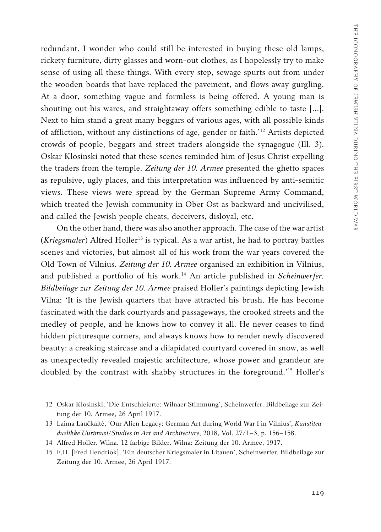redundant. I wonder who could still be interested in buying these old lamps, rickety furniture, dirty glasses and worn-out clothes, as I hopelessly try to make sense of using all these things. With every step, sewage spurts out from under the wooden boards that have replaced the pavement, and flows away gurgling. At a door, something vague and formless is being offered. A young man is shouting out his wares, and straightaway offers something edible to taste […]. Next to him stand a great many beggars of various ages, with all possible kinds of affliction, without any distinctions of age, gender or faith.'12 Artists depicted crowds of people, beggars and street traders alongside the synagogue (Ill. 3). Oskar Klosinski noted that these scenes reminded him of Jesus Christ expelling the traders from the temple. *Zeitung der 10. Armee* presented the ghetto spaces as repulsive, ugly places, and this interpretation was influenced by anti-semitic views. These views were spread by the German Supreme Army Command, which treated the Jewish community in Ober Ost as backward and uncivilised, and called the Jewish people cheats, deceivers, disloyal, etc.

On the other hand, there was also another approach. The case of the war artist (*Kriegsmaler*) Alfred Holler<sup>13</sup> is typical. As a war artist, he had to portray battles scenes and victories, but almost all of his work from the war years covered the Old Town of Vilnius. *Zeitung der 10. Armee* organised an exhibition in Vilnius, and published a portfolio of his work.<sup>14</sup> An article published in *Scheinwerfer*. *Bildbeilage zur Zeitung der 10. Armee* praised Holler's paintings depicting Jewish Vilna: 'It is the Jewish quarters that have attracted his brush. He has become fascinated with the dark courtyards and passageways, the crooked streets and the medley of people, and he knows how to convey it all. He never ceases to find hidden picturesque corners, and always knows how to render newly discovered beauty: a creaking staircase and a dilapidated courtyard covered in snow, as well as unexpectedly revealed majestic architecture, whose power and grandeur are doubled by the contrast with shabby structures in the foreground.'15 Holler's

<sup>12</sup> Oskar Klosinski, 'Die Entschleierte: Wilnaer Stimmung', Scheinwerfer. Bildbeilage zur Zeitung der 10. Armee, 26 April 1917.

<sup>13</sup> Laima Laučkaitė, 'Our Alien Legacy: German Art during World War I in Vilnius', *Kunstiteaduslikke Uurimusi/Studies in Art and Architecture*, 2018, Vol. 27/1–3, p. 156–158.

<sup>14</sup> Alfred Holler. Wilna. 12 farbige Bilder. Wilna: Zeitung der 10. Armee, 1917.

<sup>15</sup> F.H. [Fred Hendriok], 'Ein deutscher Kriegsmaler in Litauen', Scheinwerfer. Bildbeilage zur Zeitung der 10. Armee, 26 April 1917.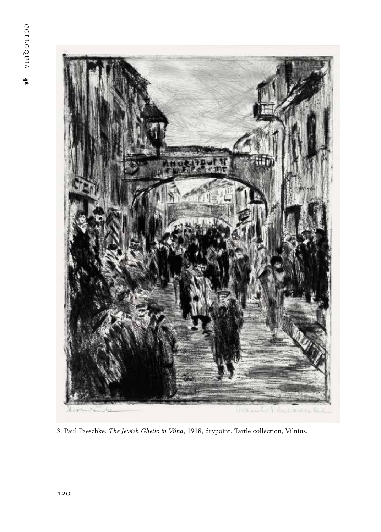

3. Paul Paeschke, *The Jewish Ghetto in Vilna*, 1918, drypoint. Tartle collection, Vilnius.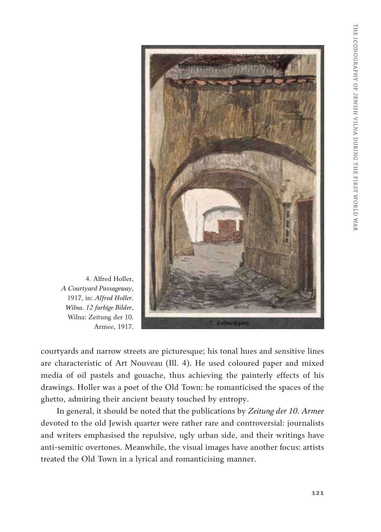

4. Alfred Holler, *A Courtyard Passageway*, 1917, in: *Alfred Holler. Wilna. 12 farbige Bilder*, Wilna: Zeitung der 10. Armee, 1917.

courtyards and narrow streets are picturesque; his tonal hues and sensitive lines are characteristic of Art Nouveau (Ill. 4). He used coloured paper and mixed media of oil pastels and gouache, thus achieving the painterly effects of his drawings. Holler was a poet of the Old Town: he romanticised the spaces of the ghetto, admiring their ancient beauty touched by entropy.

In general, it should be noted that the publications by *Zeitung der 10. Armee* devoted to the old Jewish quarter were rather rare and controversial: journalists and writers emphasised the repulsive, ugly urban side, and their writings have anti-semitic overtones. Meanwhile, the visual images have another focus: artists treated the Old Town in a lyrical and romanticising manner.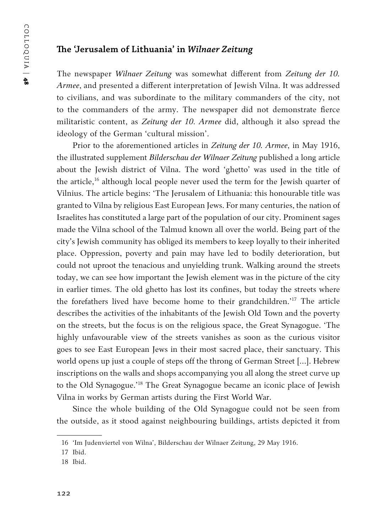#### **The 'Jerusalem of Lithuania' in** *Wilnaer Zeitung*

The newspaper *Wilnaer Zeitung* was somewhat different from *Zeitung der 10. Armee*, and presented a different interpretation of Jewish Vilna. It was addressed to civilians, and was subordinate to the military commanders of the city, not to the commanders of the army. The newspaper did not demonstrate fierce militaristic content, as *Zeitung der 10. Armee* did, although it also spread the ideology of the German 'cultural mission'.

Prior to the aforementioned articles in *Zeitung der 10. Armee*, in May 1916, the illustrated supplement *Bilderschau der Wilnaer Zeitung* published a long article about the Jewish district of Vilna. The word 'ghetto' was used in the title of the article,<sup>16</sup> although local people never used the term for the Jewish quarter of Vilnius. The article begins: 'The Jerusalem of Lithuania: this honourable title was granted to Vilna by religious East European Jews. For many centuries, the nation of Israelites has constituted a large part of the population of our city. Prominent sages made the Vilna school of the Talmud known all over the world. Being part of the city's Jewish community has obliged its members to keep loyally to their inherited place. Oppression, poverty and pain may have led to bodily deterioration, but could not uproot the tenacious and unyielding trunk. Walking around the streets today, we can see how important the Jewish element was in the picture of the city in earlier times. The old ghetto has lost its confines, but today the streets where the forefathers lived have become home to their grandchildren.'17 The article describes the activities of the inhabitants of the Jewish Old Town and the poverty on the streets, but the focus is on the religious space, the Great Synagogue. 'The highly unfavourable view of the streets vanishes as soon as the curious visitor goes to see East European Jews in their most sacred place, their sanctuary. This world opens up just a couple of steps off the throng of German Street […]. Hebrew inscriptions on the walls and shops accompanying you all along the street curve up to the Old Synagogue.'18 The Great Synagogue became an iconic place of Jewish Vilna in works by German artists during the First World War.

Since the whole building of the Old Synagogue could not be seen from the outside, as it stood against neighbouring buildings, artists depicted it from

<sup>16</sup> 'Im Judenviertel von Wilna', Bilderschau der Wilnaer Zeitung, 29 May 1916.

<sup>17</sup> Ibid.

<sup>18</sup> Ibid.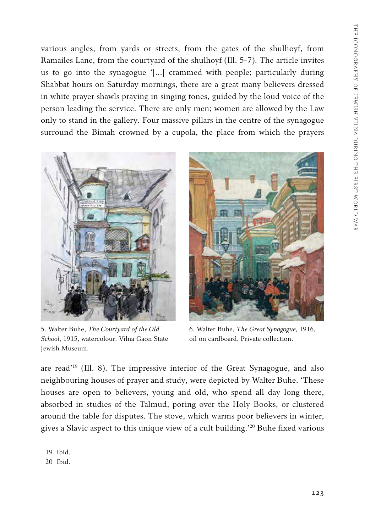various angles, from yards or streets, from the gates of the shulhoyf, from Ramailes Lane, from the courtyard of the shulhoyf (Ill. 5-7). The article invites us to go into the synagogue '[...] crammed with people; particularly during Shabbat hours on Saturday mornings, there are a great many believers dressed in white prayer shawls praying in singing tones, guided by the loud voice of the person leading the service. There are only men; women are allowed by the Law only to stand in the gallery. Four massive pillars in the centre of the synagogue surround the Bimah crowned by a cupola, the place from which the prayers



5. Walter Buhe, *The Courtyard of the Old School*, 1915, watercolour. Vilna Gaon State Jewish Museum.



6. Walter Buhe, *The Great Synagogue*, 1916, oil on cardboard. Private collection.

are read'19 (Ill. 8). The impressive interior of the Great Synagogue, and also neighbouring houses of prayer and study, were depicted by Walter Buhe. 'These houses are open to believers, young and old, who spend all day long there, absorbed in studies of the Talmud, poring over the Holy Books, or clustered around the table for disputes. The stove, which warms poor believers in winter, gives a Slavic aspect to this unique view of a cult building.'20 Buhe fixed various

<sup>19</sup> Ibid.

<sup>20</sup> Ibid.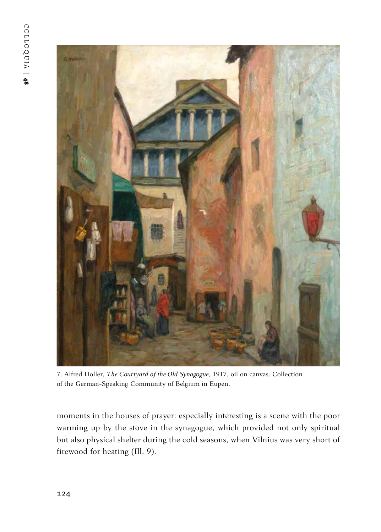

7. Alfred Holler, *The Courtyard of the Old Synagogue*, 1917, oil on canvas. Collection of the German-Speaking Community of Belgium in Eupen.

moments in the houses of prayer: especially interesting is a scene with the poor warming up by the stove in the synagogue, which provided not only spiritual but also physical shelter during the cold seasons, when Vilnius was very short of firewood for heating (Ill. 9).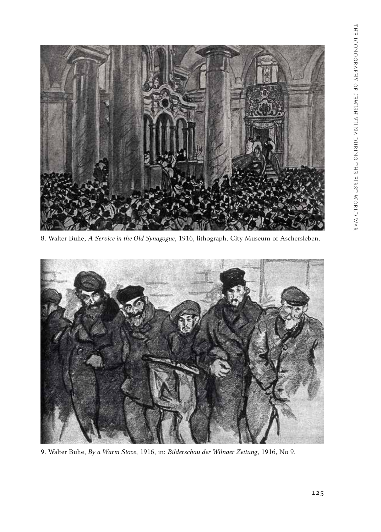

8. Walter Buhe, *A Service in the Old Synagogue*, 1916, lithograph. City Museum of Aschersleben.



9. Walter Buhe, *By a Warm Stove*, 1916, in: *Bilderschau der Wilnaer Zeitung*, 1916, No 9.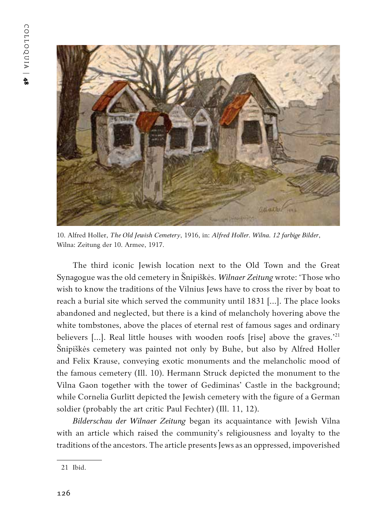

10. Alfred Holler, *The Old Jewish Cemetery*, 1916, in: *Alfred Holler. Wilna. 12 farbige Bilder*, Wilna: Zeitung der 10. Armee, 1917.

The third iconic Jewish location next to the Old Town and the Great Synagogue was the old cemetery in Šnipiškės. *Wilnaer Zeitung* wrote: 'Those who wish to know the traditions of the Vilnius Jews have to cross the river by boat to reach a burial site which served the community until 1831 [...]. The place looks abandoned and neglected, but there is a kind of melancholy hovering above the white tombstones, above the places of eternal rest of famous sages and ordinary believers [...]. Real little houses with wooden roofs [rise] above the graves.'<sup>21</sup> Šnipiškės cemetery was painted not only by Buhe, but also by Alfred Holler and Felix Krause, conveying exotic monuments and the melancholic mood of the famous cemetery (Ill. 10). Hermann Struck depicted the monument to the Vilna Gaon together with the tower of Gediminas' Castle in the background; while Cornelia Gurlitt depicted the Jewish cemetery with the figure of a German soldier (probably the art critic Paul Fechter) (Ill. 11, 12).

*Bilderschau der Wilnaer Zeitung* began its acquaintance with Jewish Vilna with an article which raised the community's religiousness and loyalty to the traditions of the ancestors. The article presents Jews as an oppressed, impoverished

<sup>21</sup> Ibid.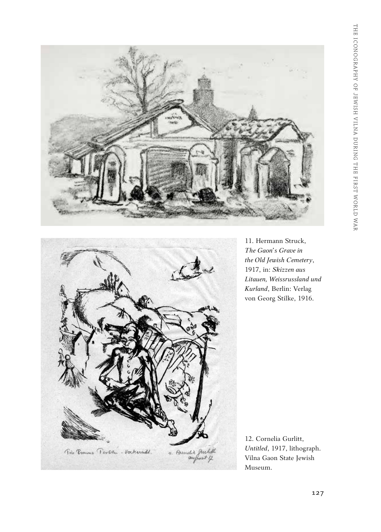



11. Hermann Struck, *The Gaon's Grave in the Old Jewish Cemetery*, 1917, in: *Skizzen aus Litauen, Weissrussland und Kurland*, Berlin: Verlag von Georg Stilke, 1916.

12. Cornelia Gurlitt, *Untitled*, 1917, lithograph. Vilna Gaon State Jewish Museum.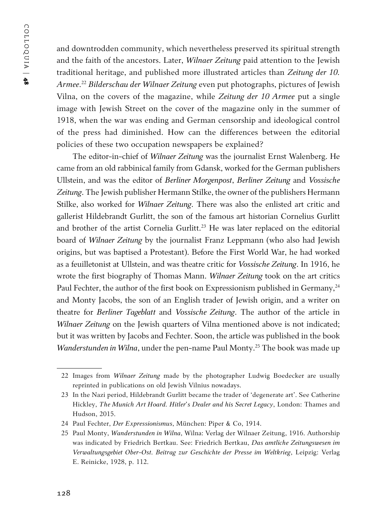COLLOQUIA | COLLOQUIA | 48

and downtrodden community, which nevertheless preserved its spiritual strength and the faith of the ancestors. Later, *Wilnaer Zeitung* paid attention to the Jewish traditional heritage, and published more illustrated articles than *Zeitung der 10. Armee*. <sup>22</sup> *Bilderschau der Wilnaer Zeitung* even put photographs, pictures of Jewish Vilna, on the covers of the magazine, while *Zeitung der 10 Armee* put a single image with Jewish Street on the cover of the magazine only in the summer of 1918, when the war was ending and German censorship and ideological control of the press had diminished. How can the differences between the editorial policies of these two occupation newspapers be explained?

The editor-in-chief of *Wilnaer Zeitung* was the journalist Ernst Walenberg. He came from an old rabbinical family from Gdansk, worked for the German publishers Ullstein, and was the editor of *Berliner Morgenpost*, *Berliner Zeitung* and *Vossische Zeitung*. The Jewish publisher Hermann Stilke, the owner of the publishers Hermann Stilke, also worked for *Wilnaer Zeitung*. There was also the enlisted art critic and gallerist Hildebrandt Gurlitt, the son of the famous art historian Cornelius Gurlitt and brother of the artist Cornelia Gurlitt.<sup>23</sup> He was later replaced on the editorial board of *Wilnaer Zeitung* by the journalist Franz Leppmann (who also had Jewish origins, but was baptised a Protestant). Before the First World War, he had worked as a feuilletonist at Ullstein, and was theatre critic for *Vossische Zeitung*. In 1916, he wrote the first biography of Thomas Mann. *Wilnaer Zeitung* took on the art critics Paul Fechter, the author of the first book on Expressionism published in Germany,<sup>24</sup> and Monty Jacobs, the son of an English trader of Jewish origin, and a writer on theatre for *Berliner Tageblatt* and *Vossische Zeitung*. The author of the article in *Wilnaer Zeitung* on the Jewish quarters of Vilna mentioned above is not indicated; but it was written by Jacobs and Fechter. Soon, the article was published in the book *Wanderstunden in Wilna*, under the pen-name Paul Monty.<sup>25</sup> The book was made up

<sup>22</sup> Images from *Wilnaer Zeitung* made by the photographer Ludwig Boedecker are usually reprinted in publications on old Jewish Vilnius nowadays.

<sup>23</sup> In the Nazi period, Hildebrandt Gurlitt became the trader of 'degenerate art'. See Catherine Hickley, *The Munich Art Hoard. Hitler's Dealer and his Secret Legacy*, London: Thames and Hudson, 2015.

<sup>24</sup> Paul Fechter, *Der Expressionismus*, München: Piper & Co, 1914.

<sup>25</sup> Paul Monty, *Wanderstunden in Wilna*, Wilna: Verlag der Wilnaer Zeitung, 1916. Authorship was indicated by Friedrich Bertkau. See: Friedrich Bertkau, *Das amtliche Zeitungswesen im Verwaltungsgebiet Ober-Ost. Beitrag zur Geschichte der Presse im Weltkrieg*, Leipzig: Verlag E. Reinicke, 1928, p. 112.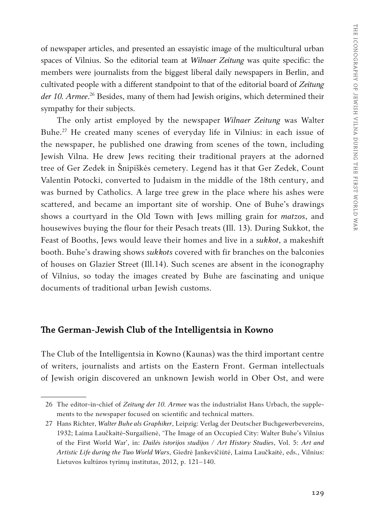of newspaper articles, and presented an essayistic image of the multicultural urban spaces of Vilnius. So the editorial team at *Wilnaer Zeitung* was quite specific: the members were journalists from the biggest liberal daily newspapers in Berlin, and cultivated people with a different standpoint to that of the editorial board of *Zeitung der 10. Armee*. 26 Besides, many of them had Jewish origins, which determined their sympathy for their subjects.

The only artist employed by the newspaper *Wilnaer Zeitung* was Walter Buhe.27 He created many scenes of everyday life in Vilnius: in each issue of the newspaper, he published one drawing from scenes of the town, including Jewish Vilna. He drew Jews reciting their traditional prayers at the adorned tree of Ger Zedek in Šnipiškės cemetery. Legend has it that Ger Zedek, Count Valentin Potocki, converted to Judaism in the middle of the 18th century, and was burned by Catholics. A large tree grew in the place where his ashes were scattered, and became an important site of worship. One of Buhe's drawings shows a courtyard in the Old Town with Jews milling grain for *matzos*, and housewives buying the flour for their Pesach treats (Ill. 13). During Sukkot, the Feast of Booths, Jews would leave their homes and live in a *sukkot*, a makeshift booth. Buhe's drawing shows *sukkots* covered with fir branches on the balconies of houses on Glazier Street (Ill.14). Such scenes are absent in the iconography of Vilnius, so today the images created by Buhe are fascinating and unique documents of traditional urban Jewish customs.

#### **The German-Jewish Club of the Intelligentsia in Kowno**

The Club of the Intelligentsia in Kowno (Kaunas) was the third important centre of writers, journalists and artists on the Eastern Front. German intellectuals of Jewish origin discovered an unknown Jewish world in Ober Ost, and were

<sup>26</sup> The editor-in-chief of *Zeitung der 10. Armee* was the industrialist Hans Urbach, the supplements to the newspaper focused on scientific and technical matters.

<sup>27</sup> Hans Richter, *Walter Buhe als Graphiker*, Leipzig: Verlag der Deutscher Buchgewerbevereins, 1932; Laima Laučkaitė-Surgailienė, 'The Image of an Occupied City: Walter Buhe's Vilnius of the First World War', in: *Dailės istorijos studijos / Art History Studies*, Vol. 5: *Art and Artistic Life during the Two World Wars*, Giedrė Jankevičiūtė, Laima Laučkaitė, eds., Vilnius: Lietuvos kultūros tyrimų institutas, 2012, p. 121–140.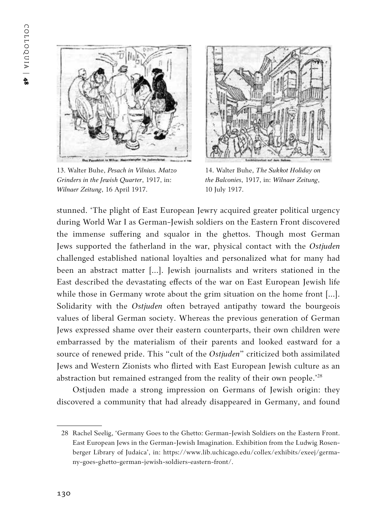

13. Walter Buhe, *Pesach in Vilnius. Matzo Grinders in the Jewish Quarter*, 1917, in: *Wilnaer Zeitung*, 16 April 1917.



14. Walter Buhe, *The Sukkot Holiday on the Balconies*, 1917, in: *Wilnaer Zeitung*, 10 July 1917.

stunned. 'The plight of East European Jewry acquired greater political urgency during World War I as German-Jewish soldiers on the Eastern Front discovered the immense suffering and squalor in the ghettos. Though most German Jews supported the fatherland in the war, physical contact with the *Ostjuden* challenged established national loyalties and personalized what for many had been an abstract matter […]. Jewish journalists and writers stationed in the East described the devastating effects of the war on East European Jewish life while those in Germany wrote about the grim situation on the home front [...]. Solidarity with the *Ostjuden* often betrayed antipathy toward the bourgeois values of liberal German society. Whereas the previous generation of German Jews expressed shame over their eastern counterparts, their own children were embarrassed by the materialism of their parents and looked eastward for a source of renewed pride. This "cult of the *Ostjuden*" criticized both assimilated Jews and Western Zionists who flirted with East European Jewish culture as an abstraction but remained estranged from the reality of their own people.'28

Ostjuden made a strong impression on Germans of Jewish origin: they discovered a community that had already disappeared in Germany, and found

<sup>28</sup> Rachel Seelig, 'Germany Goes to the Ghetto: German-Jewish Soldiers on the Eastern Front. East European Jews in the German-Jewish Imagination. Exhibition from the Ludwig Rosenberger Library of Judaica', in: https://www.lib.uchicago.edu/collex/exhibits/exeej/germany-goes-ghetto-german-jewish-soldiers-eastern-front/.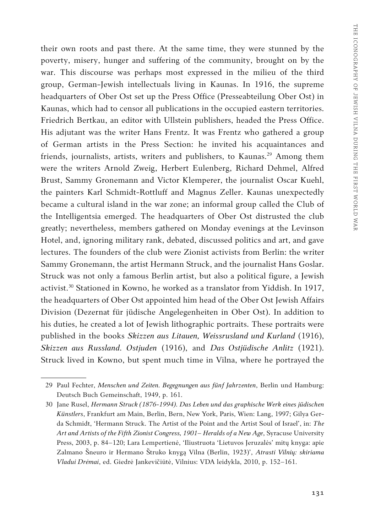their own roots and past there. At the same time, they were stunned by the poverty, misery, hunger and suffering of the community, brought on by the war. This discourse was perhaps most expressed in the milieu of the third group, German-Jewish intellectuals living in Kaunas. In 1916, the supreme headquarters of Ober Ost set up the Press Office (Presseabteilung Ober Ost) in Kaunas, which had to censor all publications in the occupied eastern territories. Friedrich Bertkau, an editor with Ullstein publishers, headed the Press Office. His adjutant was the writer Hans Frentz. It was Frentz who gathered a group of German artists in the Press Section: he invited his acquaintances and friends, journalists, artists, writers and publishers, to Kaunas.<sup>29</sup> Among them were the writers Arnold Zweig, Herbert Eulenberg, Richard Dehmel, Alfred Brust, Sammy Gronemann and Victor Klemperer, the journalist Oscar Kuehl, the painters Karl Schmidt-Rottluff and Magnus Zeller. Kaunas unexpectedly became a cultural island in the war zone; an informal group called the Club of the Intelligentsia emerged. The headquarters of Ober Ost distrusted the club greatly; nevertheless, members gathered on Monday evenings at the Levinson Hotel, and, ignoring military rank, debated, discussed politics and art, and gave lectures. The founders of the club were Zionist activists from Berlin: the writer Sammy Gronemann, the artist Hermann Struck, and the journalist Hans Goslar. Struck was not only a famous Berlin artist, but also a political figure, a Jewish activist.<sup>30</sup> Stationed in Kowno, he worked as a translator from Yiddish. In 1917, the headquarters of Ober Ost appointed him head of the Ober Ost Jewish Affairs Division (Dezernat für jüdische Angelegenheiten in Ober Ost). In addition to his duties, he created a lot of Jewish lithographic portraits. These portraits were published in the books *Skizzen aus Litauen, Weissrusland und Kurland* (1916), *Skizzen aus Russland. Ostjuden* (1916), and *Das Ostjüdische Anlitz* (1921). Struck lived in Kowno, but spent much time in Vilna, where he portrayed the

<sup>29</sup> Paul Fechter, *Menschen und Zeiten. Begegnungen aus fünf Jahrzenten*, Berlin und Hamburg: Deutsch Buch Gemeinschaft, 1949, p. 161.

<sup>30</sup> Jane Rusel, *Hermann Struck (1876-1994). Das Leben und das graphische Werk eines jüdischen Künstlers*, Frankfurt am Main, Berlin, Bern, New York, Paris, Wien: Lang, 1997; Gilya Gerda Schmidt, 'Hermann Struck. The Artist of the Point and the Artist Soul of Israel', in: *The Art and Artists of the Fifth Zionist Congress, 1901– Heralds of a New Age*, Syracuse University Press, 2003, p. 84–120; Lara Lempertienė, 'Iliustruota 'Lietuvos Jeruzalės' mitų knyga: apie Zalmano Šneuro ir Hermano Štruko knygą Vilna (Berlin, 1923)', *Atrasti Vilnių: skiriama Vladui Drėmai*, ed. Giedrė Jankevičiūtė, Vilnius: VDA leidykla, 2010, p. 152–161.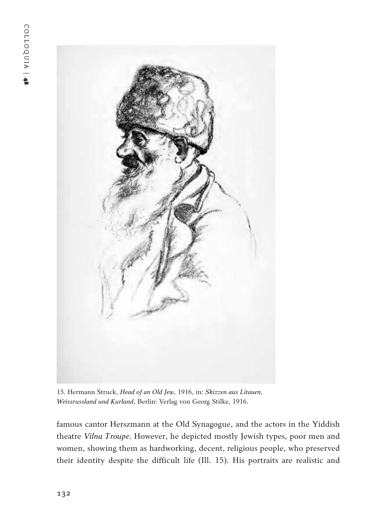

15. Hermann Struck, *Head of an Old Jew*, 1916, in: *Skizzen aus Litauen, Weissrussland und Kurland*, Berlin: Verlag von Georg Stilke, 1916.

famous cantor Herszmann at the Old Synagogue, and the actors in the Yiddish theatre *Vilna Troupe*. However, he depicted mostly Jewish types, poor men and women, showing them as hardworking, decent, religious people, who preserved their identity despite the difficult life (Ill. 15). His portraits are realistic and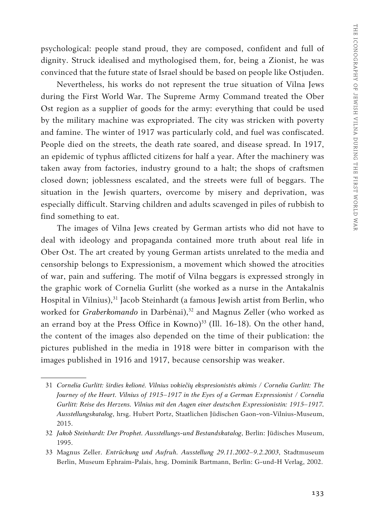psychological: people stand proud, they are composed, confident and full of dignity. Struck idealised and mythologised them, for, being a Zionist, he was convinced that the future state of Israel should be based on people like Ostjuden.

Nevertheless, his works do not represent the true situation of Vilna Jews during the First World War. The Supreme Army Command treated the Ober Ost region as a supplier of goods for the army: everything that could be used by the military machine was expropriated. The city was stricken with poverty and famine. The winter of 1917 was particularly cold, and fuel was confiscated. People died on the streets, the death rate soared, and disease spread. In 1917, an epidemic of typhus afflicted citizens for half a year. After the machinery was taken away from factories, industry ground to a halt; the shops of craftsmen closed down; joblessness escalated, and the streets were full of beggars. The situation in the Jewish quarters, overcome by misery and deprivation, was especially difficult. Starving children and adults scavenged in piles of rubbish to find something to eat.

The images of Vilna Jews created by German artists who did not have to deal with ideology and propaganda contained more truth about real life in Ober Ost. The art created by young German artists unrelated to the media and censorship belongs to Expressionism, a movement which showed the atrocities of war, pain and suffering. The motif of Vilna beggars is expressed strongly in the graphic work of Cornelia Gurlitt (she worked as a nurse in the Antakalnis Hospital in Vilnius),<sup>31</sup> Jacob Steinhardt (a famous Jewish artist from Berlin, who worked for *Graberkomando* in Darbėnai),<sup>32</sup> and Magnus Zeller (who worked as an errand boy at the Press Office in Kowno) $33$  (Ill. 16-18). On the other hand, the content of the images also depended on the time of their publication: the pictures published in the media in 1918 were bitter in comparison with the images published in 1916 and 1917, because censorship was weaker.

<sup>31</sup> *Cornelia Gurlitt: širdies kelionė. Vilnius vokiečių ekspresionistės akimis / Cornelia Gurlitt: The Journey of the Heart. Vilnius of 1915–1917 in the Eyes of a German Expressionist / Cornelia Gurlitt: Reise des Herzens. Vilnius mit den Augen einer deutschen Expressionistin: 1915–1917. Ausstellungskatalog*, hrsg. Hubert Portz, Staatlichen Jüdischen Gaon-von-Vilnius-Museum, 2015.

<sup>32</sup> *Jakob Steinhardt: Der Prophet. Ausstellungs-und Bestandskatalog*, Berlin: Jüdisches Museum, 1995.

<sup>33</sup> Magnus Zeller. *Entrückung und Aufruh. Ausstellung 29.11.2002–9.2.2003*, Stadtmuseum Berlin, Museum Ephraim-Palais, hrsg. Dominik Bartmann, Berlin: G-und-H Verlag, 2002.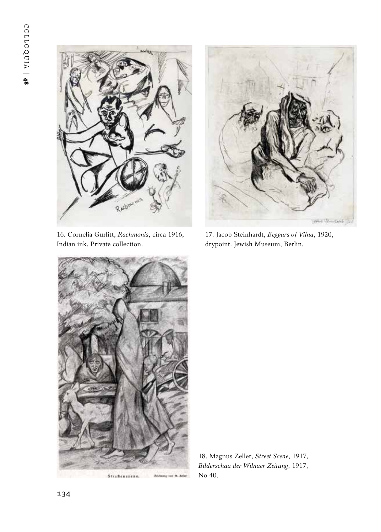

16. Cornelia Gurlitt, *Rachmonis*, circa 1916, Indian ink. Private collection.



17. Jacob Steinhardt, *Beggars of Vilna*, 1920, drypoint. Jewish Museum, Berlin.



18. Magnus Zeller, *Street Scene*, 1917, *Bilderschau der Wilnaer Zeitung*, 1917, No 40.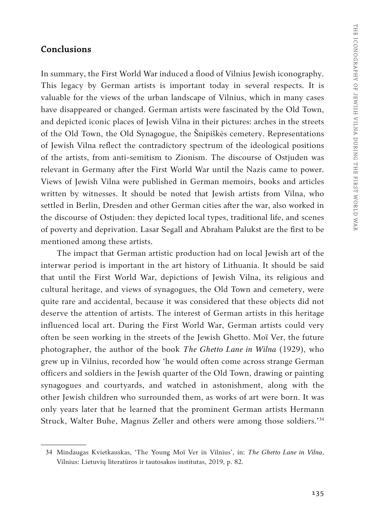#### **Conclusions**

In summary, the First World War induced a flood of Vilnius Jewish iconography. This legacy by German artists is important today in several respects. It is valuable for the views of the urban landscape of Vilnius, which in many cases have disappeared or changed. German artists were fascinated by the Old Town, and depicted iconic places of Jewish Vilna in their pictures: arches in the streets of the Old Town, the Old Synagogue, the Šnipiškės cemetery. Representations of Jewish Vilna reflect the contradictory spectrum of the ideological positions of the artists, from anti-semitism to Zionism. The discourse of Ostjuden was relevant in Germany after the First World War until the Nazis came to power. Views of Jewish Vilna were published in German memoirs, books and articles written by witnesses. It should be noted that Jewish artists from Vilna, who settled in Berlin, Dresden and other German cities after the war, also worked in the discourse of Ostjuden: they depicted local types, traditional life, and scenes of poverty and deprivation. Lasar Segall and Abraham Palukst are the first to be mentioned among these artists.

The impact that German artistic production had on local Jewish art of the interwar period is important in the art history of Lithuania. It should be said that until the First World War, depictions of Jewish Vilna, its religious and cultural heritage, and views of synagogues, the Old Town and cemetery, were quite rare and accidental, because it was considered that these objects did not deserve the attention of artists. The interest of German artists in this heritage influenced local art. During the First World War, German artists could very often be seen working in the streets of the Jewish Ghetto. Moï Ver, the future photographer, the author of the book *The Ghetto Lane in Wilna* (1929), who grew up in Vilnius, recorded how 'he would often come across strange German officers and soldiers in the Jewish quarter of the Old Town, drawing or painting synagogues and courtyards, and watched in astonishment, along with the other Jewish children who surrounded them, as works of art were born. It was only years later that he learned that the prominent German artists Hermann Struck, Walter Buhe, Magnus Zeller and others were among those soldiers.'34

<sup>34</sup> Mindaugas Kvietkauskas, 'The Young Moï Ver in Vilnius', in: *The Ghetto Lane in Vilna*, Vilnius: Lietuvių literatūros ir tautosakos institutas, 2019, p. 82.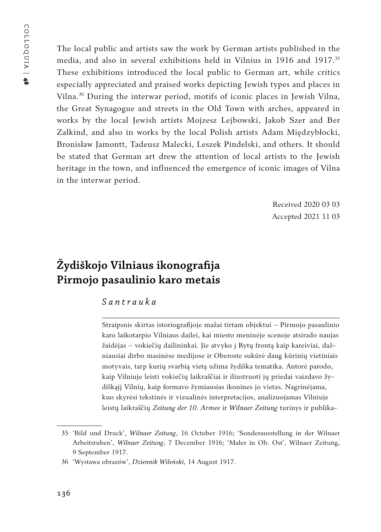The local public and artists saw the work by German artists published in the media, and also in several exhibitions held in Vilnius in 1916 and 1917.35 These exhibitions introduced the local public to German art, while critics especially appreciated and praised works depicting Jewish types and places in Vilna.36 During the interwar period, motifs of iconic places in Jewish Vilna, the Great Synagogue and streets in the Old Town with arches, appeared in works by the local Jewish artists Mojzesz Lejbowski, Jakob Szer and Ber Zalkind, and also in works by the local Polish artists Adam Międzybłocki, Bronisław Jamontt, Tadeusz Malecki, Leszek Pindelski, and others. It should be stated that German art drew the attention of local artists to the Jewish heritage in the town, and influenced the emergence of iconic images of Vilna in the interwar period.

> Received 2020 03 03 Accepted 2021 11 03

## **Žydiškojo Vilniaus ikonografija Pirmojo pasaulinio karo metais**

#### *Santrauka*

Straipsnis skirtas istoriografijoje mažai tirtam objektui – Pirmojo pasaulinio karo laikotarpio Vilniaus dailei, kai miesto meninėje scenoje atsirado naujas žaidėjas – vokiečių dailininkai. Jie atvyko į Rytų frontą kaip kareiviai, dažniausiai dirbo masinėse medijose ir Oberoste sukūrė daug kūrinių vietiniais motyvais, tarp kurių svarbią vietą užima žydiška tematika. Autorė parodo, kaip Vilniuje leisti vokiečių laikraščiai ir iliustruoti jų priedai vaizdavo žydiškąjį Vilnių, kaip formavo žymiausias ikonines jo vietas. Nagrinėjama, kuo skyrėsi tekstinės ir vizualinės interpretacijos, analizuojamas Vilniuje leistų laikraščių *Zeitung der 10. Armee* ir *Wilnaer Zeitung* turinys ir publika-

<sup>35</sup> 'Bild und Druck', *Wilnaer Zeitung*, 16 October 1916; 'Sonderausstellung in der Wilnaer Arbeitstuben', *Wilnaer Zeitung*, 7 December 1916; 'Maler in Ob. Ost', Wilnaer Zeitung, 9 September 1917.

<sup>36</sup> 'Wystawa obrazów', *Dziennik Wileński*, 14 August 1917.